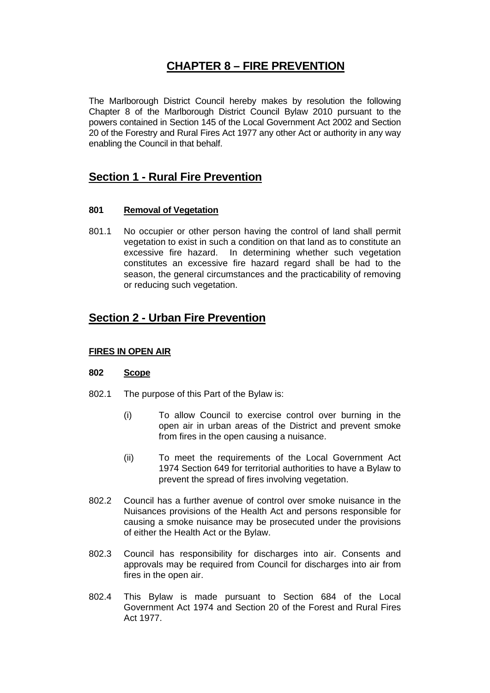# **CHAPTER 8 – FIRE PREVENTION**

The Marlborough District Council hereby makes by resolution the following Chapter 8 of the Marlborough District Council Bylaw 2010 pursuant to the powers contained in Section 145 of the Local Government Act 2002 and Section 20 of the Forestry and Rural Fires Act 1977 any other Act or authority in any way enabling the Council in that behalf.

## **Section 1 - Rural Fire Prevention**

## **801 Removal of Vegetation**

801.1 No occupier or other person having the control of land shall permit vegetation to exist in such a condition on that land as to constitute an excessive fire hazard. In determining whether such vegetation constitutes an excessive fire hazard regard shall be had to the season, the general circumstances and the practicability of removing or reducing such vegetation.

# **Section 2 - Urban Fire Prevention**

## **FIRES IN OPEN AIR**

## **802 Scope**

- 802.1 The purpose of this Part of the Bylaw is:
	- (i) To allow Council to exercise control over burning in the open air in urban areas of the District and prevent smoke from fires in the open causing a nuisance.
	- (ii) To meet the requirements of the Local Government Act 1974 Section 649 for territorial authorities to have a Bylaw to prevent the spread of fires involving vegetation.
- 802.2 Council has a further avenue of control over smoke nuisance in the Nuisances provisions of the Health Act and persons responsible for causing a smoke nuisance may be prosecuted under the provisions of either the Health Act or the Bylaw.
- 802.3 Council has responsibility for discharges into air. Consents and approvals may be required from Council for discharges into air from fires in the open air.
- 802.4 This Bylaw is made pursuant to Section 684 of the Local Government Act 1974 and Section 20 of the Forest and Rural Fires Act 1977.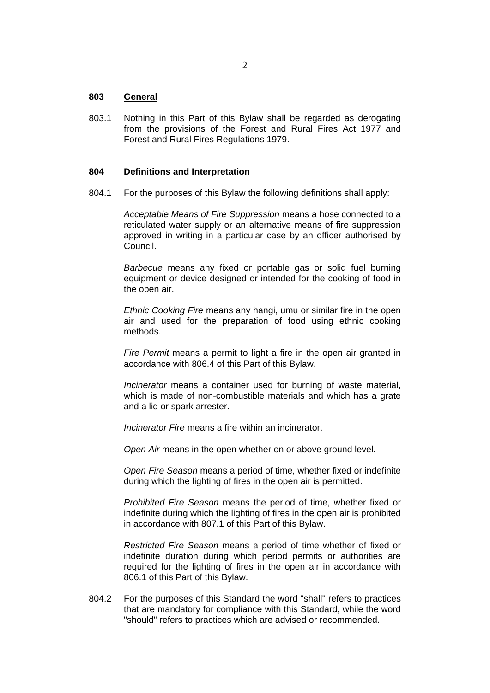## **803 General**

803.1 Nothing in this Part of this Bylaw shall be regarded as derogating from the provisions of the Forest and Rural Fires Act 1977 and Forest and Rural Fires Regulations 1979.

#### **804 Definitions and Interpretation**

804.1 For the purposes of this Bylaw the following definitions shall apply:

*Acceptable Means of Fire Suppression* means a hose connected to a reticulated water supply or an alternative means of fire suppression approved in writing in a particular case by an officer authorised by Council.

*Barbecue* means any fixed or portable gas or solid fuel burning equipment or device designed or intended for the cooking of food in the open air.

*Ethnic Cooking Fire* means any hangi, umu or similar fire in the open air and used for the preparation of food using ethnic cooking methods.

*Fire Permit* means a permit to light a fire in the open air granted in accordance with 806.4 of this Part of this Bylaw.

*Incinerator* means a container used for burning of waste material, which is made of non-combustible materials and which has a grate and a lid or spark arrester.

*Incinerator Fire* means a fire within an incinerator.

*Open Air* means in the open whether on or above ground level.

*Open Fire Season* means a period of time, whether fixed or indefinite during which the lighting of fires in the open air is permitted.

*Prohibited Fire Season* means the period of time, whether fixed or indefinite during which the lighting of fires in the open air is prohibited in accordance with 807.1 of this Part of this Bylaw.

*Restricted Fire Season* means a period of time whether of fixed or indefinite duration during which period permits or authorities are required for the lighting of fires in the open air in accordance with 806.1 of this Part of this Bylaw.

804.2 For the purposes of this Standard the word "shall" refers to practices that are mandatory for compliance with this Standard, while the word "should" refers to practices which are advised or recommended.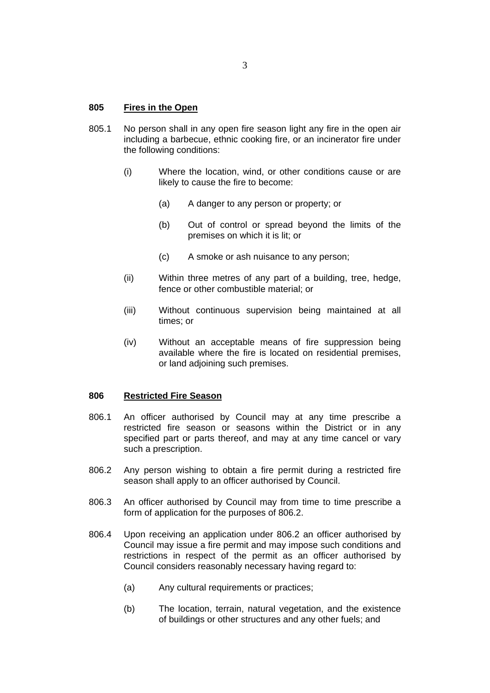## **805 Fires in the Open**

- 805.1 No person shall in any open fire season light any fire in the open air including a barbecue, ethnic cooking fire, or an incinerator fire under the following conditions:
	- (i) Where the location, wind, or other conditions cause or are likely to cause the fire to become:
		- (a) A danger to any person or property; or
		- (b) Out of control or spread beyond the limits of the premises on which it is lit; or
		- (c) A smoke or ash nuisance to any person;
	- (ii) Within three metres of any part of a building, tree, hedge, fence or other combustible material; or
	- (iii) Without continuous supervision being maintained at all times; or
	- (iv) Without an acceptable means of fire suppression being available where the fire is located on residential premises, or land adjoining such premises.

#### **806 Restricted Fire Season**

- 806.1 An officer authorised by Council may at any time prescribe a restricted fire season or seasons within the District or in any specified part or parts thereof, and may at any time cancel or vary such a prescription.
- 806.2 Any person wishing to obtain a fire permit during a restricted fire season shall apply to an officer authorised by Council.
- 806.3 An officer authorised by Council may from time to time prescribe a form of application for the purposes of 806.2.
- 806.4 Upon receiving an application under 806.2 an officer authorised by Council may issue a fire permit and may impose such conditions and restrictions in respect of the permit as an officer authorised by Council considers reasonably necessary having regard to:
	- (a) Any cultural requirements or practices;
	- (b) The location, terrain, natural vegetation, and the existence of buildings or other structures and any other fuels; and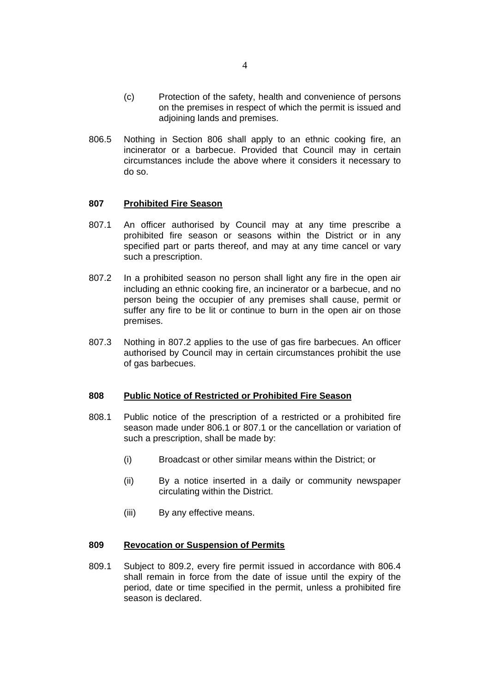- (c) Protection of the safety, health and convenience of persons on the premises in respect of which the permit is issued and adjoining lands and premises.
- 806.5 Nothing in Section 806 shall apply to an ethnic cooking fire, an incinerator or a barbecue. Provided that Council may in certain circumstances include the above where it considers it necessary to do so.

#### **807 Prohibited Fire Season**

- 807.1 An officer authorised by Council may at any time prescribe a prohibited fire season or seasons within the District or in any specified part or parts thereof, and may at any time cancel or vary such a prescription.
- 807.2 In a prohibited season no person shall light any fire in the open air including an ethnic cooking fire, an incinerator or a barbecue, and no person being the occupier of any premises shall cause, permit or suffer any fire to be lit or continue to burn in the open air on those premises.
- 807.3 Nothing in 807.2 applies to the use of gas fire barbecues. An officer authorised by Council may in certain circumstances prohibit the use of gas barbecues.

#### **808 Public Notice of Restricted or Prohibited Fire Season**

- 808.1 Public notice of the prescription of a restricted or a prohibited fire season made under 806.1 or 807.1 or the cancellation or variation of such a prescription, shall be made by:
	- (i) Broadcast or other similar means within the District; or
	- (ii) By a notice inserted in a daily or community newspaper circulating within the District.
	- (iii) By any effective means.

## **809 Revocation or Suspension of Permits**

809.1 Subject to 809.2, every fire permit issued in accordance with 806.4 shall remain in force from the date of issue until the expiry of the period, date or time specified in the permit, unless a prohibited fire season is declared.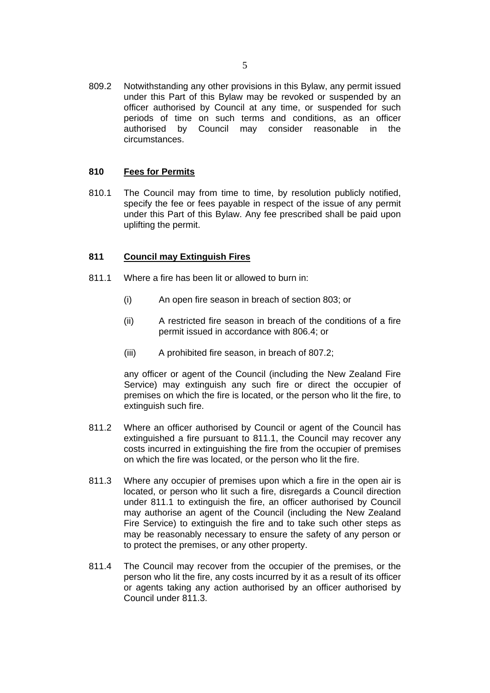809.2 Notwithstanding any other provisions in this Bylaw, any permit issued under this Part of this Bylaw may be revoked or suspended by an officer authorised by Council at any time, or suspended for such periods of time on such terms and conditions, as an officer authorised by Council may consider reasonable in the circumstances.

## **810 Fees for Permits**

810.1 The Council may from time to time, by resolution publicly notified, specify the fee or fees payable in respect of the issue of any permit under this Part of this Bylaw. Any fee prescribed shall be paid upon uplifting the permit.

## **811 Council may Extinguish Fires**

- 811.1 Where a fire has been lit or allowed to burn in:
	- (i) An open fire season in breach of section 803; or
	- (ii) A restricted fire season in breach of the conditions of a fire permit issued in accordance with 806.4; or
	- (iii) A prohibited fire season, in breach of 807.2;

any officer or agent of the Council (including the New Zealand Fire Service) may extinguish any such fire or direct the occupier of premises on which the fire is located, or the person who lit the fire, to extinguish such fire.

- 811.2 Where an officer authorised by Council or agent of the Council has extinguished a fire pursuant to 811.1, the Council may recover any costs incurred in extinguishing the fire from the occupier of premises on which the fire was located, or the person who lit the fire.
- 811.3 Where any occupier of premises upon which a fire in the open air is located, or person who lit such a fire, disregards a Council direction under 811.1 to extinguish the fire, an officer authorised by Council may authorise an agent of the Council (including the New Zealand Fire Service) to extinguish the fire and to take such other steps as may be reasonably necessary to ensure the safety of any person or to protect the premises, or any other property.
- 811.4 The Council may recover from the occupier of the premises, or the person who lit the fire, any costs incurred by it as a result of its officer or agents taking any action authorised by an officer authorised by Council under 811.3.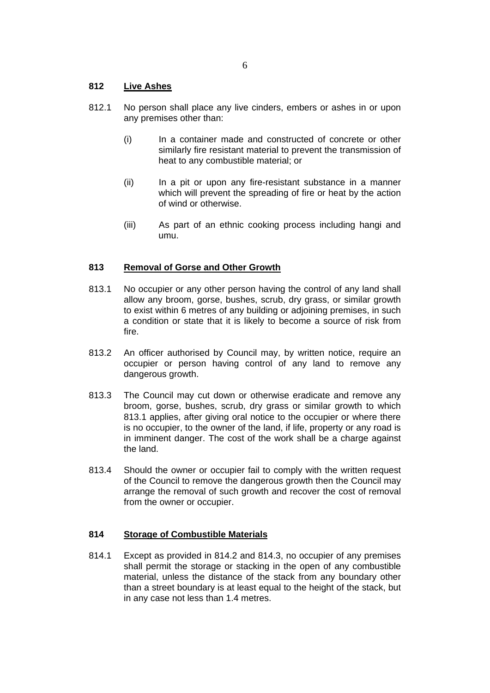## **812 Live Ashes**

- 812.1 No person shall place any live cinders, embers or ashes in or upon any premises other than:
	- (i) In a container made and constructed of concrete or other similarly fire resistant material to prevent the transmission of heat to any combustible material; or
	- (ii) In a pit or upon any fire-resistant substance in a manner which will prevent the spreading of fire or heat by the action of wind or otherwise.
	- (iii) As part of an ethnic cooking process including hangi and umu.

## **813 Removal of Gorse and Other Growth**

- 813.1 No occupier or any other person having the control of any land shall allow any broom, gorse, bushes, scrub, dry grass, or similar growth to exist within 6 metres of any building or adjoining premises, in such a condition or state that it is likely to become a source of risk from fire.
- 813.2 An officer authorised by Council may, by written notice, require an occupier or person having control of any land to remove any dangerous growth.
- 813.3 The Council may cut down or otherwise eradicate and remove any broom, gorse, bushes, scrub, dry grass or similar growth to which 813.1 applies, after giving oral notice to the occupier or where there is no occupier, to the owner of the land, if life, property or any road is in imminent danger. The cost of the work shall be a charge against the land.
- 813.4 Should the owner or occupier fail to comply with the written request of the Council to remove the dangerous growth then the Council may arrange the removal of such growth and recover the cost of removal from the owner or occupier.

#### **814 Storage of Combustible Materials**

814.1 Except as provided in 814.2 and 814.3, no occupier of any premises shall permit the storage or stacking in the open of any combustible material, unless the distance of the stack from any boundary other than a street boundary is at least equal to the height of the stack, but in any case not less than 1.4 metres.